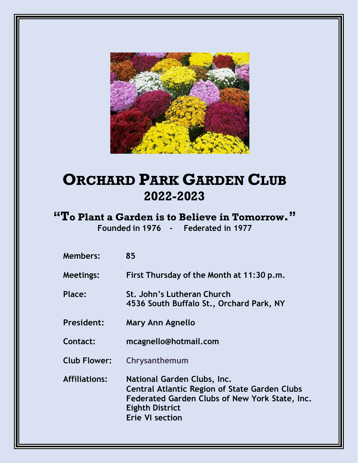

## **ORCHARD PARK GARDEN CLUB 2022-2023**

#### **"To Plant a Garden is to Believe in Tomorrow." Founded in 1976 - Federated in 1977**

| <b>Members:</b>      | 85                                                                                                                                                                                 |
|----------------------|------------------------------------------------------------------------------------------------------------------------------------------------------------------------------------|
| <b>Meetings:</b>     | First Thursday of the Month at 11:30 p.m.                                                                                                                                          |
| Place:               | St. John's Lutheran Church<br>4536 South Buffalo St., Orchard Park, NY                                                                                                             |
| <b>President:</b>    | Mary Ann Agnello                                                                                                                                                                   |
| Contact:             | mcagnello@hotmail.com                                                                                                                                                              |
| <b>Club Flower:</b>  | Chrysanthemum                                                                                                                                                                      |
| <b>Affiliations:</b> | National Garden Clubs, Inc.<br><b>Central Atlantic Region of State Garden Clubs</b><br>Federated Garden Clubs of New York State, Inc.<br>Eighth District<br><b>Erie VI section</b> |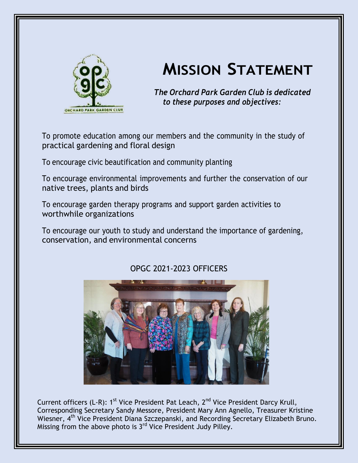

# **MISSION STATEMENT**

*The Orchard Park Garden Club is dedicated to these purposes and objectives:*

To promote education among our members and the community in the study of practical gardening and floral design

To encourage civic beautification and community planting

To encourage environmental improvements and further the conservation of our native trees, plants and birds

To encourage garden therapy programs and support garden activities to worthwhile organizations

To encourage our youth to study and understand the importance of gardening, conservation, and environmental concerns



#### OPGC 2021-2023 OFFICERS

Current officers (L-R): 1<sup>st</sup> Vice President Pat Leach, 2<sup>nd</sup> Vice President Darcy Krull, Corresponding Secretary Sandy Messore, President Mary Ann Agnello, Treasurer Kristine Wiesner, 4<sup>th</sup> Vice President Diana Szczepanski, and Recording Secretary Elizabeth Bruno. Missing from the above photo is  $3<sup>rd</sup>$  Vice President Judy Pilley.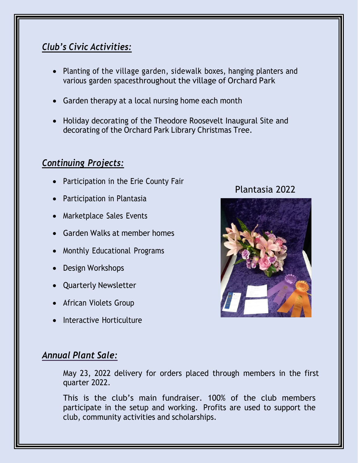## *Club's Civic Activities:*

- Planting of the village garden, sidewalk boxes, hanging planters and various garden spacesthroughout the village of Orchard Park
- Garden therapy at a local nursing home each month
- Holiday decorating of the Theodore Roosevelt Inaugural Site and decorating of the Orchard Park Library Christmas Tree.

#### *Continuing Projects:*

- Participation in the Erie County Fair
- Participation in Plantasia
- Marketplace Sales Events
- Garden Walks at member homes
- Monthly Educational Programs
- Design Workshops
- Quarterly Newsletter
- African Violets Group
- Interactive Horticulture

#### Plantasia 2022



#### *Annual Plant Sale:*

May 23, 2022 delivery for orders placed through members in the first quarter 2022.

This is the club's main fundraiser. 100% of the club members participate in the setup and working. Profits are used to support the club, community activities and scholarships.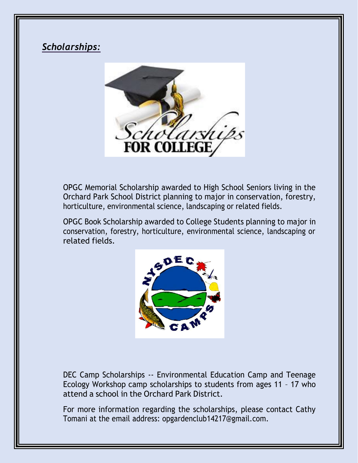### *Scholarships:*



OPGC Memorial Scholarship awarded to High School Seniors living in the Orchard Park School District planning to major in conservation, forestry, horticulture, environmental science, landscaping or related fields.

OPGC Book Scholarship awarded to College Students planning to major in conservation, forestry, horticulture, environmental science, landscaping or related fields.



DEC Camp Scholarships -- Environmental Education Camp and Teenage Ecology Workshop camp scholarships to students from ages 11 – 17 who attend a school in the Orchard Park District.

For more information regarding the scholarships, please contact Cathy Tomani at the email address: opgardenclub14217@gmail.com.